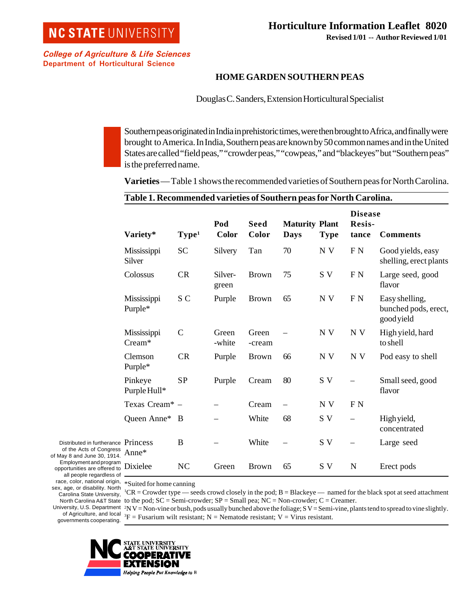College of Agriculture & Life Sciences Department of Horticultural Science

## **HOME GARDEN SOUTHERN PEAS**

Douglas C. Sanders, Extension Horticultural Specialist

Southern peas originated in India in prehistoric times, were then brought to Africa, and finally were brought to America. In India, Southern peas are known by 50 common names and in the United States are called "field peas," "crowder peas," "cowpeas," and "blackeyes" but "Southern peas" is the preferred name.

**Varieties** — Table 1 shows the recommended varieties of Southern peas for North Carolina.

| Table 1. Recommended varieties of Southern peas for North Carolina. |                   |                  |                      |                               |             |                                   |                                                      |
|---------------------------------------------------------------------|-------------------|------------------|----------------------|-------------------------------|-------------|-----------------------------------|------------------------------------------------------|
| Variety*                                                            | Type <sup>1</sup> | Pod<br>Color     | <b>Seed</b><br>Color | <b>Maturity Plant</b><br>Days | <b>Type</b> | <b>Disease</b><br>Resis-<br>tance | <b>Comments</b>                                      |
| Mississippi<br>Silver                                               | <b>SC</b>         | Silvery          | Tan                  | 70                            | N V         | F <sub>N</sub>                    | Good yields, easy<br>shelling, erect plants          |
| Colossus                                                            | CR                | Silver-<br>green | <b>Brown</b>         | 75                            | S V         | F <sub>N</sub>                    | Large seed, good<br>flavor                           |
| Mississippi<br>Purple*                                              | S <sub>C</sub>    | Purple           | <b>Brown</b>         | 65                            | N V         | F <sub>N</sub>                    | Easy shelling,<br>bunched pods, erect,<br>good yield |
| Mississippi<br>Cream*                                               | $\mathcal{C}$     | Green<br>-white  | Green<br>-cream      |                               | N V         | N V                               | High yield, hard<br>to shell                         |
| Clemson<br>Purple*                                                  | CR                | Purple           | <b>Brown</b>         | 66                            | N V         | N V                               | Pod easy to shell                                    |
| Pinkeye<br>Purple Hull*                                             | <b>SP</b>         | Purple           | Cream                | 80                            | S V         |                                   | Small seed, good<br>flavor                           |
| Texas Cream* -                                                      |                   |                  | Cream                |                               | N V         | F N                               |                                                      |
| Queen Anne*                                                         | B                 |                  | White                | 68                            | S V         |                                   | High yield,<br>concentrated                          |
| Princess<br>Anne*                                                   | B                 |                  | White                |                               | S V         |                                   | Large seed                                           |
| Dixielee                                                            | NC                | Green            | <b>Brown</b>         | 65                            | S V         | $\mathbf N$                       | Erect pods                                           |

Distributed in furtherance of the Acts of Congress of May 8 and June 30, 1914. Employment and program opportunities are offered to all people regardless of sex, age, or disability. North Carolina State University, governments cooperating.

race, color, national origin, \*Suited for home canning

North Carolina A&T State to the pod;  $SC =$  Semi-crowder;  $SP =$  Small pea; NC = Non-crowder; C = Creamer. 1 CR = Crowder type — seeds crowd closely in the pod; B = Blackeye — named for the black spot at seed attachment

University, U.S. Department <sup>2</sup>N V = Non-vine or bush, pods usually bunched above the foliage; S V = Semi-vine, plants tend to spread to vine slightly. of Agriculture, and local  ${}^{3}F =$  Fusarium wilt resistant; N = Nematode resistant; V = Virus resistant.